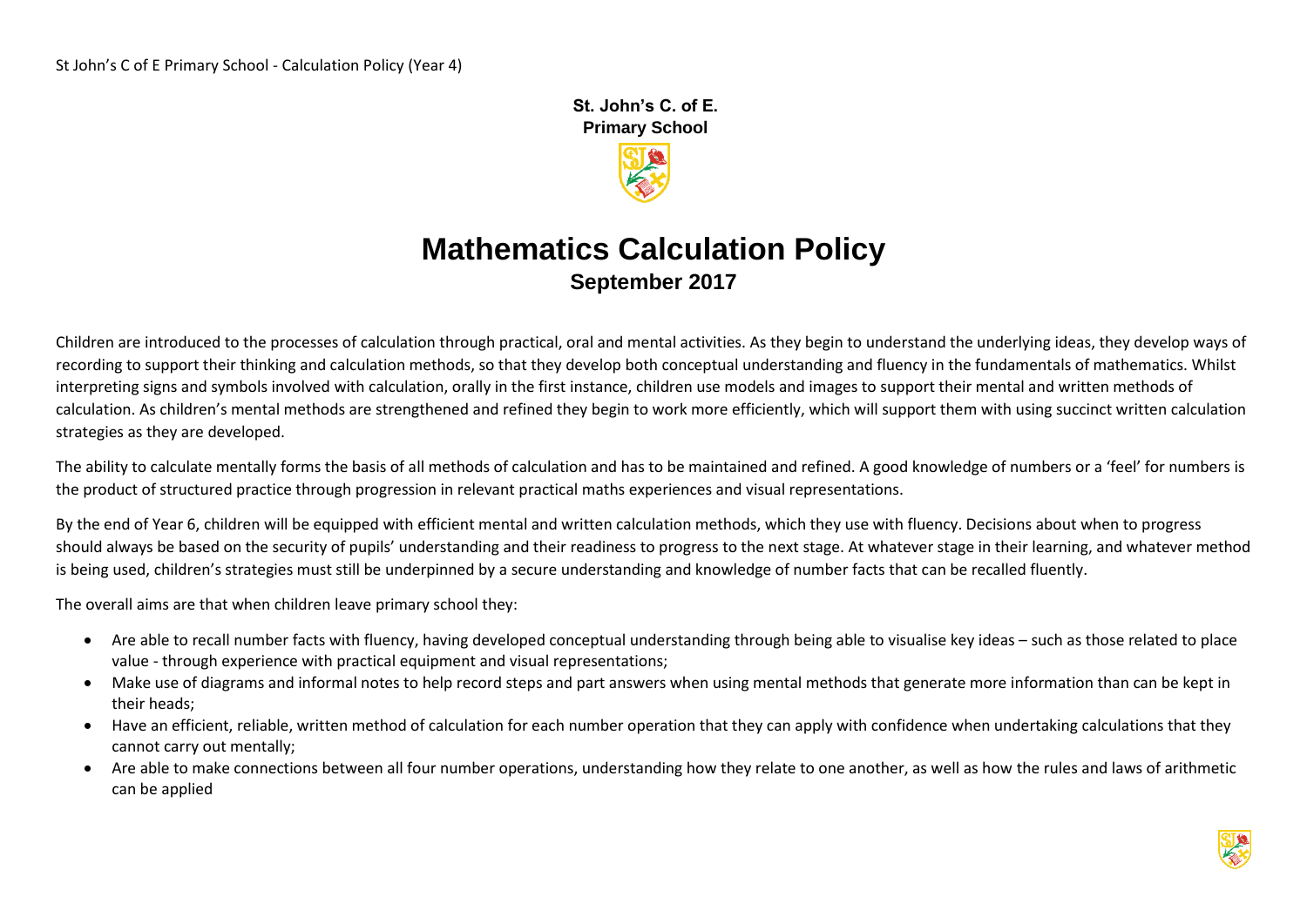**St. John's C. of E. Primary School** 

# **Mathematics Calculation Policy September 2017**

Children are introduced to the processes of calculation through practical, oral and mental activities. As they begin to understand the underlying ideas, they develop ways of recording to support their thinking and calculation methods, so that they develop both conceptual understanding and fluency in the fundamentals of mathematics. Whilst interpreting signs and symbols involved with calculation, orally in the first instance, children use models and images to support their mental and written methods of calculation. As children's mental methods are strengthened and refined they begin to work more efficiently, which will support them with using succinct written calculation strategies as they are developed.

The ability to calculate mentally forms the basis of all methods of calculation and has to be maintained and refined. A good knowledge of numbers or a 'feel' for numbers is the product of structured practice through progression in relevant practical maths experiences and visual representations.

By the end of Year 6, children will be equipped with efficient mental and written calculation methods, which they use with fluency. Decisions about when to progress should always be based on the security of pupils' understanding and their readiness to progress to the next stage. At whatever stage in their learning, and whatever method is being used, children's strategies must still be underpinned by a secure understanding and knowledge of number facts that can be recalled fluently.

The overall aims are that when children leave primary school they:

- Are able to recall number facts with fluency, having developed conceptual understanding through being able to visualise key ideas such as those related to place value - through experience with practical equipment and visual representations;
- Make use of diagrams and informal notes to help record steps and part answers when using mental methods that generate more information than can be kept in their heads;
- Have an efficient, reliable, written method of calculation for each number operation that they can apply with confidence when undertaking calculations that they cannot carry out mentally;
- Are able to make connections between all four number operations, understanding how they relate to one another, as well as how the rules and laws of arithmetic can be applied

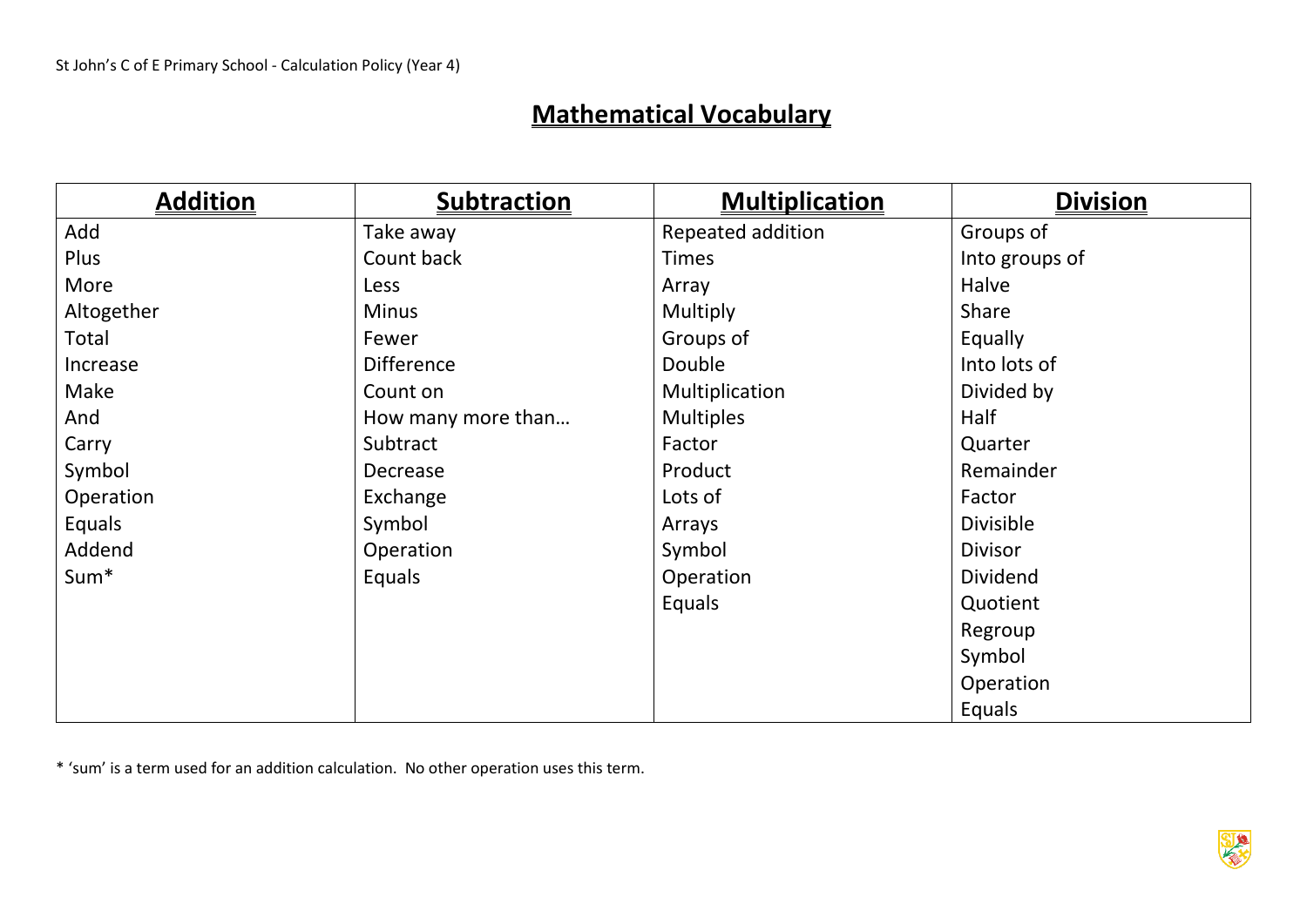## **Mathematical Vocabulary**

| <b>Addition</b>  | <b>Subtraction</b> | <b>Multiplication</b> | <b>Division</b>  |
|------------------|--------------------|-----------------------|------------------|
| Add              | Take away          | Repeated addition     | Groups of        |
| Plus             | Count back         | <b>Times</b>          | Into groups of   |
| More             | Less               | Array                 | Halve            |
| Altogether       | <b>Minus</b>       | Multiply              | Share            |
| Total            | Fewer              | Groups of             | Equally          |
| Increase         | <b>Difference</b>  | Double                | Into lots of     |
| Make             | Count on           | Multiplication        | Divided by       |
| And              | How many more than | <b>Multiples</b>      | Half             |
| Carry            | Subtract           | Factor                | Quarter          |
| Symbol           | Decrease           | Product               | Remainder        |
| Operation        | Exchange           | Lots of               | Factor           |
| Equals           | Symbol             | Arrays                | <b>Divisible</b> |
| Addend           | Operation          | Symbol                | <b>Divisor</b>   |
| Sum <sup>*</sup> | Equals             | Operation             | <b>Dividend</b>  |
|                  |                    | Equals                | Quotient         |
|                  |                    |                       | Regroup          |
|                  |                    |                       | Symbol           |
|                  |                    |                       | Operation        |
|                  |                    |                       | Equals           |

\* 'sum' is a term used for an addition calculation. No other operation uses this term.

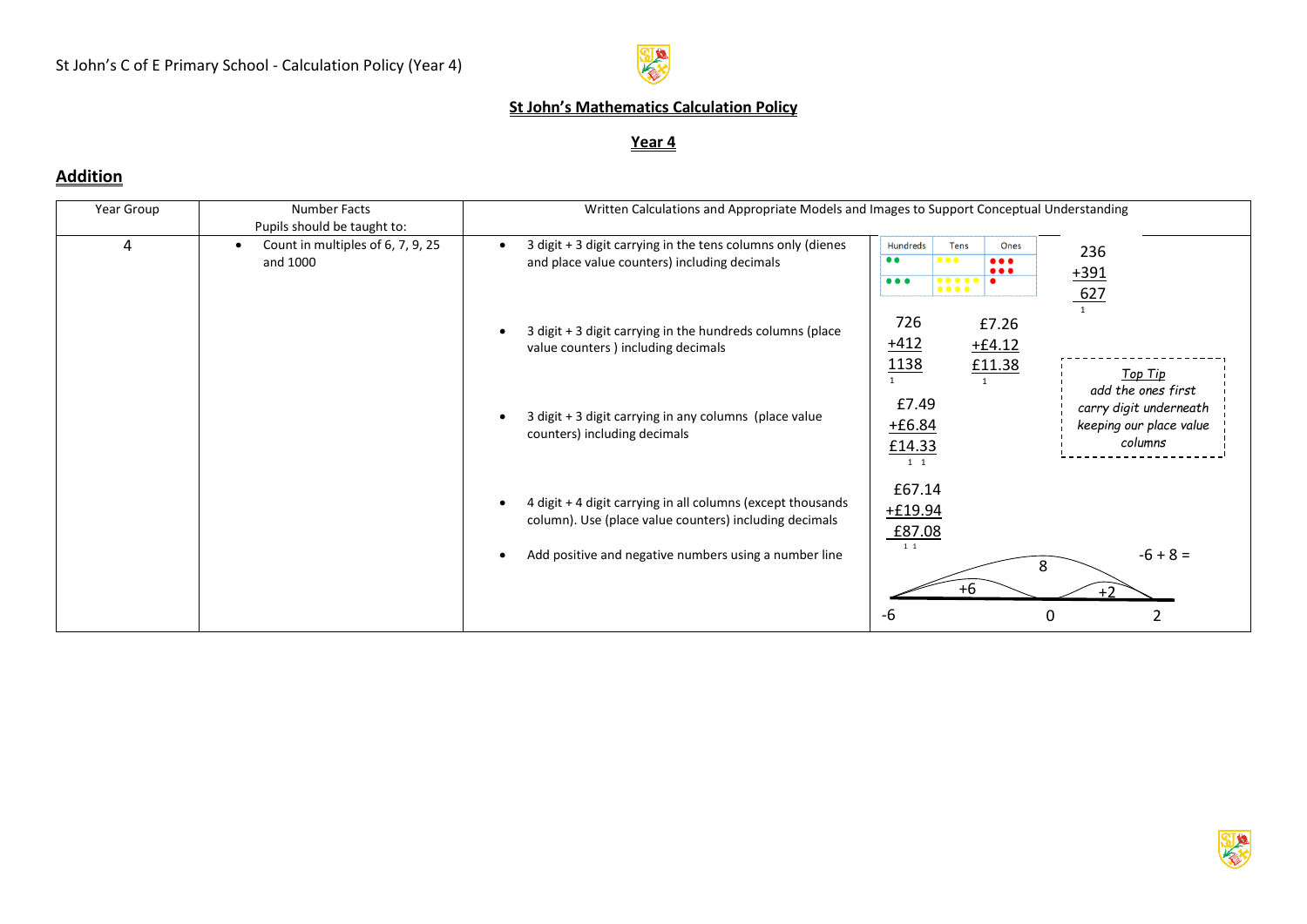

### **St John's Mathematics Calculation Policy**

#### **Year 4**

#### **Addition**

| Year Group | Number Facts                                                                              | Written Calculations and Appropriate Models and Images to Support Conceptual Understanding                                                                                                                                                                                                                                                                                                                                             |  |  |  |  |
|------------|-------------------------------------------------------------------------------------------|----------------------------------------------------------------------------------------------------------------------------------------------------------------------------------------------------------------------------------------------------------------------------------------------------------------------------------------------------------------------------------------------------------------------------------------|--|--|--|--|
| 4          | Pupils should be taught to:<br>Count in multiples of 6, 7, 9, 25<br>$\bullet$<br>and 1000 | 3 digit + 3 digit carrying in the tens columns only (dienes<br><b>Hundreds</b><br><b>Tens</b><br>Ones<br>236<br>$\bullet\bullet$<br>$\bullet\bullet\bullet$<br>$\bullet\bullet\bullet$<br>and place value counters) including decimals<br>$\bullet\bullet\bullet$<br>$+391$<br>$\bullet\bullet\bullet$<br>$\begin{array}{cccccccccccccc} \bullet & \bullet & \bullet & \bullet & \bullet & \bullet & \bullet \end{array}$<br>$\bullet$ |  |  |  |  |
|            |                                                                                           | $\bullet\bullet\bullet\bullet$<br>627<br>$\overline{1}$<br>726<br>£7.26<br>3 digit + 3 digit carrying in the hundreds columns (place<br>$+412$<br>$+64.12$<br>value counters) including decimals<br>1138<br>£11.38<br>Top Tip                                                                                                                                                                                                          |  |  |  |  |
|            |                                                                                           | add the ones first<br>£7.49<br>carry digit underneath<br>3 digit + 3 digit carrying in any columns (place value<br>$+6.84$<br>keeping our place value<br>counters) including decimals<br>columns<br>£14.33                                                                                                                                                                                                                             |  |  |  |  |
|            |                                                                                           | 1 1<br>£67.14<br>4 digit + 4 digit carrying in all columns (except thousands<br>$+£19.94$<br>column). Use (place value counters) including decimals<br>£87.08<br>1 1<br>$-6 + 8 =$<br>Add positive and negative numbers using a number line                                                                                                                                                                                            |  |  |  |  |
|            |                                                                                           | 8<br>$+6$<br>$+2$<br>-6<br>0                                                                                                                                                                                                                                                                                                                                                                                                           |  |  |  |  |

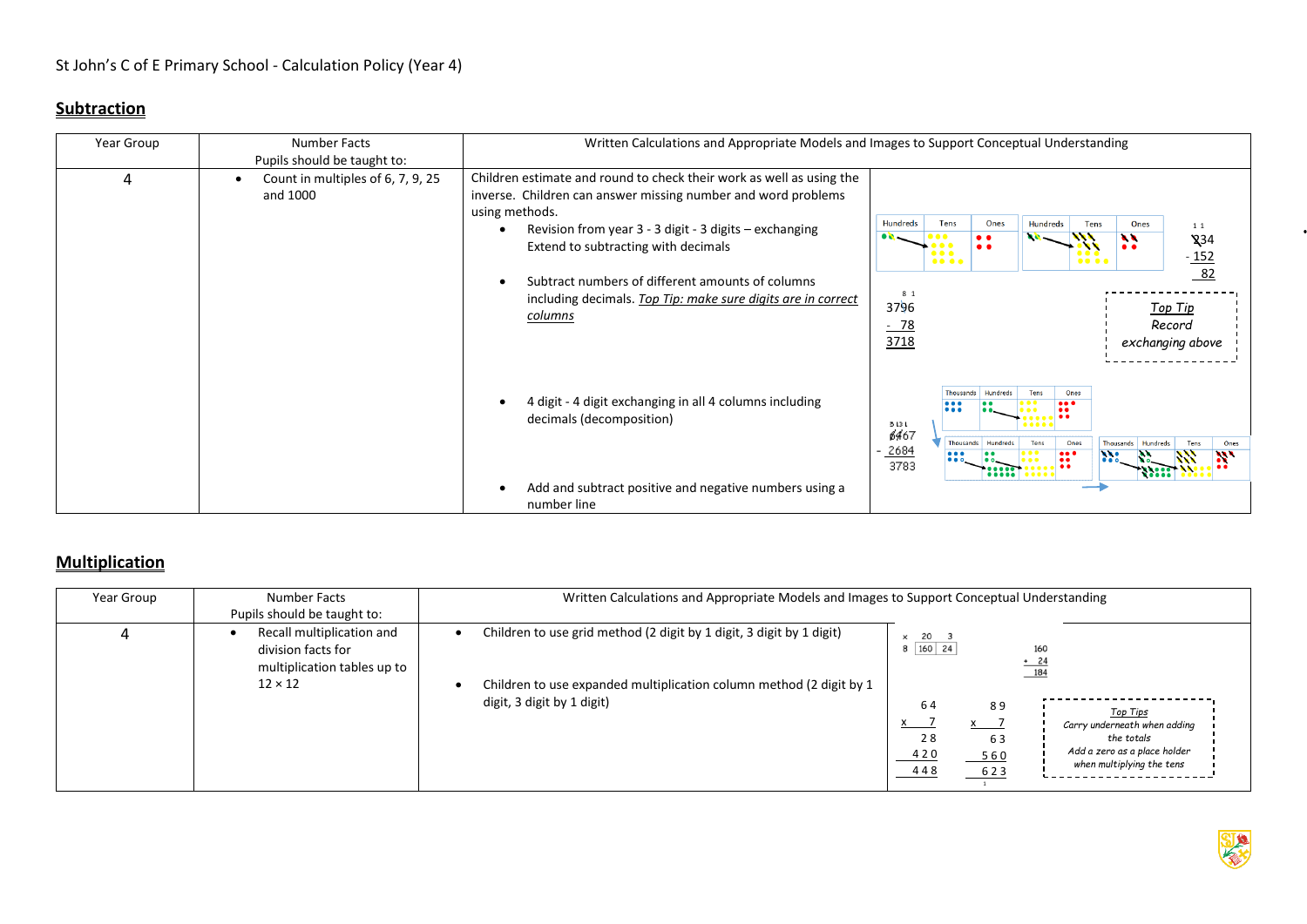### **Subtraction**

| Year Group | Number Facts<br>Pupils should be taught to:                                                                                                                                                                                                                                                                                                                                                                                              | Written Calculations and Appropriate Models and Images to Support Conceptual Understanding                                                                   |                                                 |                                                                                            |                                                                                    |                                                       |              |                                                                                       |                                        |
|------------|------------------------------------------------------------------------------------------------------------------------------------------------------------------------------------------------------------------------------------------------------------------------------------------------------------------------------------------------------------------------------------------------------------------------------------------|--------------------------------------------------------------------------------------------------------------------------------------------------------------|-------------------------------------------------|--------------------------------------------------------------------------------------------|------------------------------------------------------------------------------------|-------------------------------------------------------|--------------|---------------------------------------------------------------------------------------|----------------------------------------|
| 4          | Children estimate and round to check their work as well as using the<br>Count in multiples of 6, 7, 9, 25<br>inverse. Children can answer missing number and word problems<br>and 1000<br>using methods.<br>Revision from year 3 - 3 digit - 3 digits - exchanging<br>Extend to subtracting with decimals<br>Subtract numbers of different amounts of columns<br>including decimals. Top Tip: make sure digits are in correct<br>columns |                                                                                                                                                              | <b>Hundreds</b><br>8 1<br>3796<br>$-78$<br>3718 | Ones<br>Hundreds<br>Tens<br>Tens<br>$\bullet$<br>a, a<br>$\bullet$<br>$\bullet$            |                                                                                    |                                                       | Ones         | 1 1<br>$\chi$ 34<br>$\frac{-152}{82}$<br><u>Top Tip</u><br>Record<br>exchanging above |                                        |
|            |                                                                                                                                                                                                                                                                                                                                                                                                                                          | 4 digit - 4 digit exchanging in all 4 columns including<br>decimals (decomposition)<br>Add and subtract positive and negative numbers using a<br>number line | 3131<br><b>6467</b><br>2684<br>3783             | Thousands<br>$\bullet\bullet\bullet$<br>$\bullet\bullet\bullet$<br>$\bullet\bullet\bullet$ | <b>Hundreds</b><br>Thousands Hundreds<br><br>$\bullet\bullet\bullet\bullet\bullet$ | Tens<br><br>$\bullet$<br>Tens<br><br>$\bullet\bullet$ | Ones<br>Ones | Hundreds<br>Thousands<br>$\cdots$                                                     | Tens<br>Ones<br>$\mathbf{R}^{\bullet}$ |

#### **Multiplication**

| Year Group | Number Facts<br>Pupils should be taught to:                                                      | Written Calculations and Appropriate Models and Images to Support Conceptual Understanding                                                                                                                                                                                                                                                                                                                                            |  |  |  |
|------------|--------------------------------------------------------------------------------------------------|---------------------------------------------------------------------------------------------------------------------------------------------------------------------------------------------------------------------------------------------------------------------------------------------------------------------------------------------------------------------------------------------------------------------------------------|--|--|--|
|            | Recall multiplication and<br>division facts for<br>multiplication tables up to<br>$12 \times 12$ | Children to use grid method (2 digit by 1 digit, 3 digit by 1 digit)<br>x 20 3<br>$8 \vert 160 \vert 24$<br>160<br>$+24$<br>184<br>Children to use expanded multiplication column method (2 digit by 1<br>digit, 3 digit by 1 digit)<br>64<br>89<br>Top Tips<br>$x \rightarrow$<br>Carry underneath when adding<br>28<br>63<br>the totals<br>Add a zero as a place holder<br>420<br>$-560$<br>when multiplying the tens<br>448<br>623 |  |  |  |

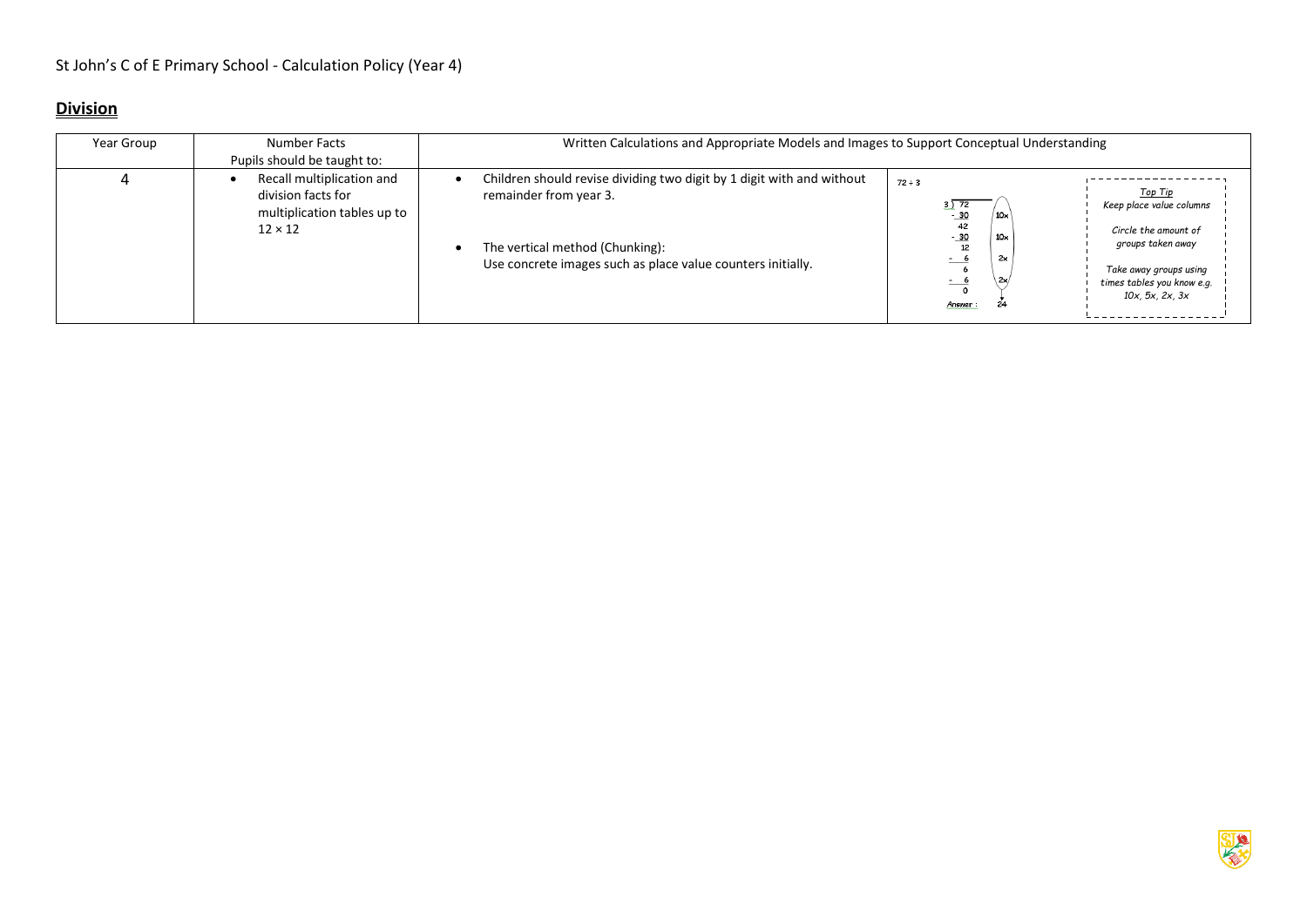### **Division**

| Year Group | Number Facts<br>Pupils should be taught to:                                                      | Written Calculations and Appropriate Models and Images to Support Conceptual Understanding                                                                                                        |                                                                                                                                                                                                                                                                                                     |
|------------|--------------------------------------------------------------------------------------------------|---------------------------------------------------------------------------------------------------------------------------------------------------------------------------------------------------|-----------------------------------------------------------------------------------------------------------------------------------------------------------------------------------------------------------------------------------------------------------------------------------------------------|
|            | Recall multiplication and<br>division facts for<br>multiplication tables up to<br>$12 \times 12$ | Children should revise dividing two digit by 1 digit with and without<br>remainder from year 3.<br>The vertical method (Chunking):<br>Use concrete images such as place value counters initially. | $72 \div 3$<br>Top Tip<br>3)72<br>Keep place value columns<br>$-30$<br>10 <sub>x</sub><br>42<br>Circle the amount of<br>$-30$<br>$10\times$<br>groups taken away<br>12<br>2x<br>- 6<br>$-$<br>Take away groups using<br>2x<br><u>- •</u><br>times tables you know e.g.<br>10x, 5x, 2x, 3x<br>Answer |